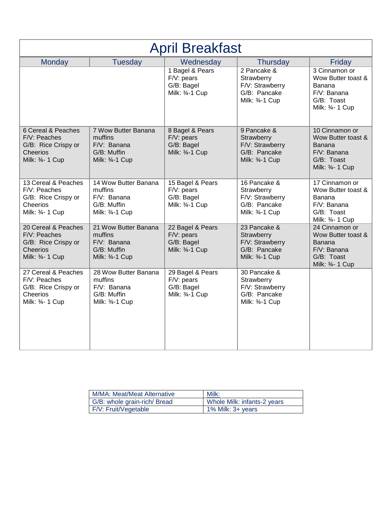| <b>April Breakfast</b>                                                                     |                                                                                     |                                                                   |                                                                                  |                                                                                                   |
|--------------------------------------------------------------------------------------------|-------------------------------------------------------------------------------------|-------------------------------------------------------------------|----------------------------------------------------------------------------------|---------------------------------------------------------------------------------------------------|
| Monday                                                                                     | <b>Tuesday</b>                                                                      | Wednesday                                                         | <b>Thursday</b>                                                                  | Friday                                                                                            |
|                                                                                            |                                                                                     | 1 Bagel & Pears<br>F/V: pears<br>G/B: Bagel<br>Milk: 3/4-1 Cup    | 2 Pancake &<br>Strawberry<br>F/V: Strawberry<br>G/B: Pancake<br>Milk: 3/4-1 Cup  | 3 Cinnamon or<br>Wow Butter toast &<br>Banana<br>$F/V:$ Banana<br>G/B: Toast<br>Milk: 3/4- 1 Cup  |
| 6 Cereal & Peaches<br>F/V: Peaches<br>G/B: Rice Crispy or<br>Cheerios<br>Milk: 3/4- 1 Cup  | 7 Wow Butter Banana<br>muffins<br>$F/V$ : Banana<br>G/B: Muffin<br>Milk: 3/4-1 Cup  | 8 Bagel & Pears<br>F/V: pears<br>G/B: Bagel<br>Milk: 3/4-1 Cup    | 9 Pancake &<br>Strawberry<br>F/V: Strawberry<br>G/B: Pancake<br>Milk: 3/4-1 Cup  | 10 Cinnamon or<br>Wow Butter toast &<br>Banana<br>F/V: Banana<br>G/B: Toast<br>Milk: 3/4- 1 Cup   |
| 13 Cereal & Peaches<br>F/V: Peaches<br>G/B: Rice Crispy or<br>Cheerios<br>Milk: 3/4- 1 Cup | 14 Wow Butter Banana<br>muffins<br>$F/V$ : Banana<br>G/B: Muffin<br>Milk: 3/4-1 Cup | 15 Bagel & Pears<br>F/V: pears<br>G/B: Bagel<br>Milk: 3/4-1 Cup   | 16 Pancake &<br>Strawberry<br>F/V: Strawberry<br>G/B: Pancake<br>Milk: 3/4-1 Cup | 17 Cinnamon or<br>Wow Butter toast &<br>Banana<br>F/V: Banana<br>G/B: Toast<br>Milk: 3/4- 1 Cup   |
| 20 Cereal & Peaches<br>F/V: Peaches<br>G/B: Rice Crispy or<br>Cheerios<br>Milk: 3/4- 1 Cup | 21 Wow Butter Banana<br>muffins<br>$F/V:$ Banana<br>G/B: Muffin<br>Milk: 3/4-1 Cup  | 22 Bagel & Pears<br>F/V: pears<br>G/B: Bagel<br>Milk: 3/4-1 Cup   | 23 Pancake &<br>Strawberry<br>F/V: Strawberry<br>G/B: Pancake<br>Milk: 3/4-1 Cup | 24 Cinnamon or<br>Wow Butter toast &<br>Banana<br>$F/V:$ Banana<br>G/B: Toast<br>Milk: 3/4- 1 Cup |
| 27 Cereal & Peaches<br>F/V: Peaches<br>G/B: Rice Crispy or<br>Cheerios<br>Milk: 3/4- 1 Cup | 28 Wow Butter Banana<br>muffins<br>F/V: Banana<br>G/B: Muffin<br>Milk: 3/4-1 Cup    | 29 Bagel & Pears<br>$F/V:$ pears<br>G/B: Bagel<br>Milk: 3/4-1 Cup | 30 Pancake &<br>Strawberry<br>F/V: Strawberry<br>G/B: Pancake<br>Milk: 3/4-1 Cup |                                                                                                   |

| M/MA: Meat/Meat Alternative  | Milk:                       |
|------------------------------|-----------------------------|
| G/B: whole grain-rich/ Bread | Whole Milk: infants-2 years |
| F/V: Fruit/Vegetable         | $1\%$ Milk: 3+ years        |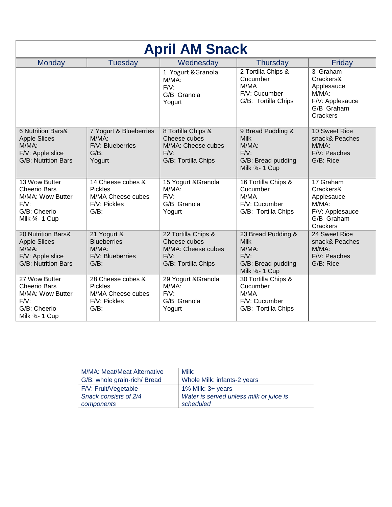| <b>April AM Snack</b>                                                                                  |                                                                                     |                                                                                             |                                                                                               |                                                                                              |
|--------------------------------------------------------------------------------------------------------|-------------------------------------------------------------------------------------|---------------------------------------------------------------------------------------------|-----------------------------------------------------------------------------------------------|----------------------------------------------------------------------------------------------|
| <b>Monday</b>                                                                                          | <b>Tuesday</b>                                                                      | Wednesday                                                                                   | <b>Thursday</b>                                                                               | Friday                                                                                       |
|                                                                                                        |                                                                                     | 1 Yogurt & Granola<br>M/MA:<br>$F/V$ :<br>G/B Granola<br>Yogurt                             | 2 Tortilla Chips &<br>Cucumber<br>M/MA<br>F/V: Cucumber<br>G/B: Tortilla Chips                | 3 Graham<br>Crackers&<br>Applesauce<br>$M/MA$ :<br>F/V: Applesauce<br>G/B Graham<br>Crackers |
| 6 Nutrition Bars&<br><b>Apple Slices</b><br>M/MA:<br>F/V: Apple slice<br><b>G/B: Nutrition Bars</b>    | 7 Yogurt & Blueberries<br>$M/MA$ :<br>F/V: Blueberries<br>$G/B$ :<br>Yogurt         | 8 Tortilla Chips &<br>Cheese cubes<br>M/MA: Cheese cubes<br>$F/V$ :<br>G/B: Tortilla Chips  | 9 Bread Pudding &<br><b>Milk</b><br>M/MA:<br>$F/V$ :<br>G/B: Bread pudding<br>Milk 3/4- 1 Cup | 10 Sweet Rice<br>snack& Peaches<br>$M/MA$ :<br>F/V: Peaches<br>G/B: Rice                     |
| 13 Wow Butter<br><b>Cheerio Bars</b><br>M/MA: Wow Butter<br>$F/V$ :<br>G/B: Cheerio<br>Milk 3/4- 1 Cup | 14 Cheese cubes &<br><b>Pickles</b><br>M/MA Cheese cubes<br>F/V: Pickles<br>$G/B$ : | 15 Yogurt & Granola<br>M/MA:<br>$F/V$ :<br>G/B Granola<br>Yogurt                            | 16 Tortilla Chips &<br>Cucumber<br>M/MA<br>F/V: Cucumber<br>G/B: Tortilla Chips               | 17 Graham<br>Crackers&<br>Applesauce<br>M/MA:<br>F/V: Applesauce<br>G/B Graham<br>Crackers   |
| 20 Nutrition Bars&<br><b>Apple Slices</b><br>M/MA:<br>F/V: Apple slice<br>G/B: Nutrition Bars          | 21 Yogurt &<br><b>Blueberries</b><br>M/MA:<br>F/V: Blueberries<br>$G/B$ :           | 22 Tortilla Chips &<br>Cheese cubes<br>M/MA: Cheese cubes<br>$F/V$ :<br>G/B: Tortilla Chips | 23 Bread Pudding &<br><b>Milk</b><br>M/MA:<br>F/V:<br>G/B: Bread pudding<br>Milk 3/4- 1 Cup   | 24 Sweet Rice<br>snack& Peaches<br>M/MA:<br>F/V: Peaches<br>G/B: Rice                        |
| 27 Wow Butter<br><b>Cheerio Bars</b><br>M/MA: Wow Butter<br>$F/V$ :<br>G/B: Cheerio<br>Milk 3/4- 1 Cup | 28 Cheese cubes &<br><b>Pickles</b><br>M/MA Cheese cubes<br>F/V: Pickles<br>$G/B$ : | 29 Yogurt & Granola<br>M/MA:<br>$F/V$ :<br>G/B Granola<br>Yogurt                            | 30 Tortilla Chips &<br>Cucumber<br>M/MA<br>F/V: Cucumber<br>G/B: Tortilla Chips               |                                                                                              |

| <b>M/MA: Meat/Meat Alternative</b> | Milk:                                   |
|------------------------------------|-----------------------------------------|
| G/B: whole grain-rich/ Bread       | Whole Milk: infants-2 years             |
| F/V: Fruit/Vegetable               | 1% Milk: $3+$ years                     |
| Snack consists of 2/4              | Water is served unless milk or juice is |
| components                         | scheduled                               |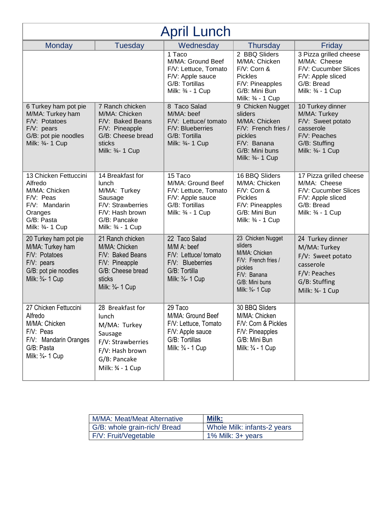| <b>April Lunch</b>                                                                                                           |                                                                                                                                   |                                                                                                                             |                                                                                                                                      |                                                                                                                         |
|------------------------------------------------------------------------------------------------------------------------------|-----------------------------------------------------------------------------------------------------------------------------------|-----------------------------------------------------------------------------------------------------------------------------|--------------------------------------------------------------------------------------------------------------------------------------|-------------------------------------------------------------------------------------------------------------------------|
| Monday                                                                                                                       | <b>Tuesday</b>                                                                                                                    | Wednesday                                                                                                                   | <b>Thursday</b>                                                                                                                      | Friday                                                                                                                  |
|                                                                                                                              |                                                                                                                                   | $\overline{1}$ Taco<br>M/MA: Ground Beef<br>F/V: Lettuce, Tomato<br>F/V: Apple sauce<br>G/B: Tortillas<br>Milk: 3/4 - 1 Cup | 2 BBQ Sliders<br>M/MA: Chicken<br>F/V: Corn &<br><b>Pickles</b><br>F/V: Pineapples<br>G/B: Mini Bun<br>Milk: 3/4 - 1 Cup             | 3 Pizza grilled cheese<br>M/MA: Cheese<br>F/V: Cucumber Slices<br>F/V: Apple sliced<br>G/B: Bread<br>Milk: 3/4 - 1 Cup  |
| 6 Turkey ham pot pie<br>M/MA: Turkey ham<br>F/V: Potatoes<br>$F/V:$ pears<br>G/B: pot pie noodles<br>Milk: 3/4- 1 Cup        | 7 Ranch chicken<br>M/MA: Chicken<br>F/V: Baked Beans<br>F/V: Pineapple<br>G/B: Cheese bread<br>sticks<br>Milk: 3/4- 1 Cup         | 8 Taco Salad<br>M/MA: beef<br>F/V: Lettuce/ tomato<br>F/V: Blueberries<br>G/B: Tortilla<br>Milk: 3/4- 1 Cup                 | 9 Chicken Nugget<br>sliders<br>M/MA: Chicken<br>F/V: French fries /<br>pickles<br>F/V: Banana<br>G/B: Mini buns<br>Milk: 3/4- 1 Cup  | 10 Turkey dinner<br>M/MA: Turkey<br>F/V: Sweet potato<br>casserole<br>F/V: Peaches<br>G/B: Stuffing<br>Milk: 3/4- 1 Cup |
| 13 Chicken Fettuccini<br>Alfredo<br>M/MA: Chicken<br>F/V: Peas<br>F/V: Mandarin<br>Oranges<br>G/B: Pasta<br>Milk: 3/4- 1 Cup | 14 Breakfast for<br>lunch<br>M/MA: Turkey<br>Sausage<br>F/V: Strawberries<br>F/V: Hash brown<br>G/B: Pancake<br>Milk: 3/4 - 1 Cup | 15 Taco<br>M/MA: Ground Beef<br>F/V: Lettuce, Tomato<br>F/V: Apple sauce<br>G/B: Tortillas<br>Milk: 3/4 - 1 Cup             | 16 BBQ Sliders<br>M/MA: Chicken<br>F/V: Corn &<br><b>Pickles</b><br>F/V: Pineapples<br>G/B: Mini Bun<br>Milk: 3/4 - 1 Cup            | 17 Pizza grilled cheese<br>M/MA: Cheese<br>F/V: Cucumber Slices<br>F/V: Apple sliced<br>G/B: Bread<br>Milk: 3/4 - 1 Cup |
| 20 Turkey ham pot pie<br>M/MA: Turkey ham<br>F/V: Potatoes<br>F/V: pears<br>G/B: pot pie noodles<br>Milk: 3/4- 1 Cup         | 21 Ranch chicken<br>M/MA: Chicken<br>F/V: Baked Beans<br>F/V: Pineapple<br>G/B: Cheese bread<br>sticks<br>Milk: 3/4- 1 Cup        | 22 Taco Salad<br>M/M A: beef<br>F/V: Lettuce/ tomato<br>F/V: Blueberries<br>G/B: Tortilla<br>Milk: 3/4- 1 Cup               | 23 Chicken Nugget<br>sliders<br>M/MA: Chicken<br>F/V: French fries /<br>pickles<br>F/V: Banana<br>G/B: Mini buns<br>Milk: 3/4- 1 Cup | 24 Turkey dinner<br>M/MA: Turkey<br>F/V: Sweet potato<br>casserole<br>F/V: Peaches<br>G/B: Stuffing<br>Milk: 34- 1 Cup  |
| 27 Chicken Fettuccini<br>Alfredo<br>M/MA: Chicken<br>F/V: Peas<br>F/V: Mandarin Oranges<br>G/B: Pasta<br>Milk: 3/4- 1 Cup    | 28 Breakfast for<br>lunch<br>M/MA: Turkey<br>Sausage<br>F/V: Strawberries<br>F/V: Hash brown<br>G/B: Pancake<br>Milk: 34 - 1 Cup  | 29 Taco<br>M/MA: Ground Beef<br>F/V: Lettuce, Tomato<br>F/V: Apple sauce<br>G/B: Tortillas<br>Milk: 3/4 - 1 Cup             | 30 BBQ Sliders<br>M/MA: Chicken<br>F/V: Corn & Pickles<br>F/V: Pineapples<br>G/B: Mini Bun<br>Milk: 3/4 - 1 Cup                      |                                                                                                                         |

| <b>M/MA: Meat/Meat Alternative</b> | <b>Milk:</b>                |
|------------------------------------|-----------------------------|
| G/B: whole grain-rich/ Bread       | Whole Milk: infants-2 years |
| F/V: Fruit/Vegetable               | $1\%$ Milk: 3+ years        |